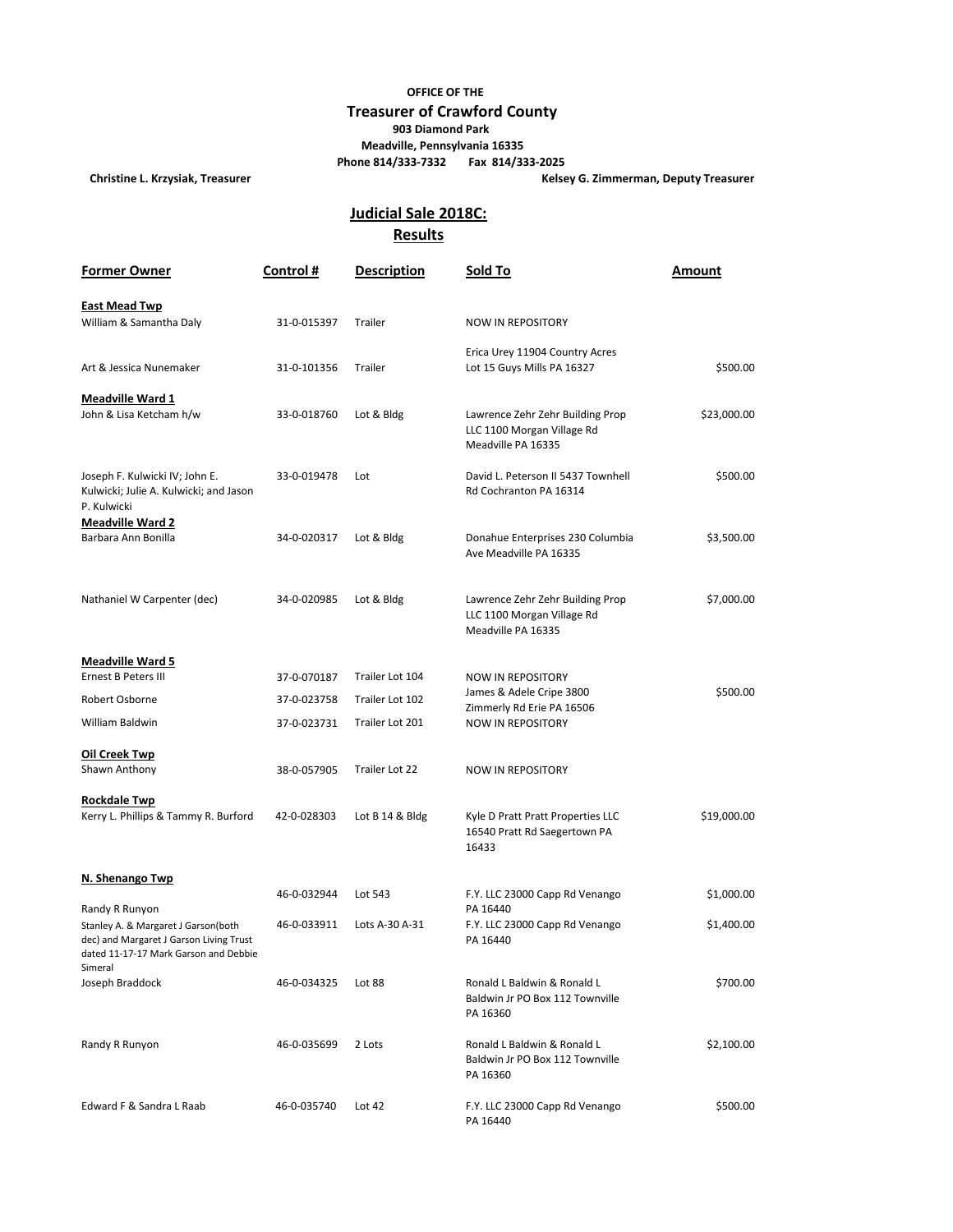## **OFFICE OF THE Treasurer of Crawford County 903 Diamond Park Meadville, Pennsylvania 16335 Phone 814/333-7332 Fax 814/333-2025**

**Christine L. Krzysiak, Treasurer Kelsey G. Zimmerman, Deputy Treasurer**

## **Results Judicial Sale 2018C:**

| <b>Former Owner</b>                                                                                                                | Control#    | <b>Description</b> | Sold To                                                                              | Amount      |
|------------------------------------------------------------------------------------------------------------------------------------|-------------|--------------------|--------------------------------------------------------------------------------------|-------------|
| <b>East Mead Twp</b>                                                                                                               |             |                    |                                                                                      |             |
| William & Samantha Daly                                                                                                            | 31-0-015397 | Trailer            | <b>NOW IN REPOSITORY</b>                                                             |             |
| Art & Jessica Nunemaker                                                                                                            | 31-0-101356 | Trailer            | Erica Urey 11904 Country Acres<br>Lot 15 Guys Mills PA 16327                         | \$500.00    |
| <b>Meadville Ward 1</b>                                                                                                            |             |                    |                                                                                      |             |
| John & Lisa Ketcham h/w                                                                                                            | 33-0-018760 | Lot & Bldg         | Lawrence Zehr Zehr Building Prop<br>LLC 1100 Morgan Village Rd<br>Meadville PA 16335 | \$23,000.00 |
| Joseph F. Kulwicki IV; John E.<br>Kulwicki; Julie A. Kulwicki; and Jason<br>P. Kulwicki                                            | 33-0-019478 | Lot                | David L. Peterson II 5437 Townhell<br>Rd Cochranton PA 16314                         | \$500.00    |
| <b>Meadville Ward 2</b><br>Barbara Ann Bonilla                                                                                     | 34-0-020317 |                    |                                                                                      | \$3,500.00  |
|                                                                                                                                    |             | Lot & Bldg         | Donahue Enterprises 230 Columbia<br>Ave Meadville PA 16335                           |             |
| Nathaniel W Carpenter (dec)                                                                                                        | 34-0-020985 | Lot & Bldg         | Lawrence Zehr Zehr Building Prop<br>LLC 1100 Morgan Village Rd<br>Meadville PA 16335 | \$7,000.00  |
| <b>Meadville Ward 5</b>                                                                                                            |             |                    |                                                                                      |             |
| <b>Ernest B Peters III</b>                                                                                                         | 37-0-070187 | Trailer Lot 104    | <b>NOW IN REPOSITORY</b>                                                             |             |
| Robert Osborne                                                                                                                     | 37-0-023758 | Trailer Lot 102    | James & Adele Cripe 3800<br>Zimmerly Rd Erie PA 16506                                | \$500.00    |
| William Baldwin                                                                                                                    | 37-0-023731 | Trailer Lot 201    | <b>NOW IN REPOSITORY</b>                                                             |             |
| <b>Oil Creek Twp</b><br>Shawn Anthony                                                                                              | 38-0-057905 | Trailer Lot 22     | <b>NOW IN REPOSITORY</b>                                                             |             |
| <b>Rockdale Twp</b><br>Kerry L. Phillips & Tammy R. Burford                                                                        | 42-0-028303 | Lot B 14 & Bldg    | Kyle D Pratt Pratt Properties LLC<br>16540 Pratt Rd Saegertown PA<br>16433           | \$19,000.00 |
| N. Shenango Twp                                                                                                                    |             |                    |                                                                                      |             |
| Randy R Runyon                                                                                                                     | 46-0-032944 | Lot 543            | F.Y. LLC 23000 Capp Rd Venango<br>PA 16440                                           | \$1,000.00  |
| Stanley A. & Margaret J Garson(both<br>dec) and Margaret J Garson Living Trust<br>dated 11-17-17 Mark Garson and Debbie<br>Simeral | 46-0-033911 | Lots A-30 A-31     | F.Y. LLC 23000 Capp Rd Venango<br>PA 16440                                           | \$1,400.00  |
| Joseph Braddock                                                                                                                    | 46-0-034325 | Lot 88             | Ronald L Baldwin & Ronald L<br>Baldwin Jr PO Box 112 Townville<br>PA 16360           | \$700.00    |
| Randy R Runyon                                                                                                                     | 46-0-035699 | 2 Lots             | Ronald L Baldwin & Ronald L<br>Baldwin Jr PO Box 112 Townville<br>PA 16360           | \$2,100.00  |
| Edward F & Sandra L Raab                                                                                                           | 46-0-035740 | Lot 42             | F.Y. LLC 23000 Capp Rd Venango<br>PA 16440                                           | \$500.00    |